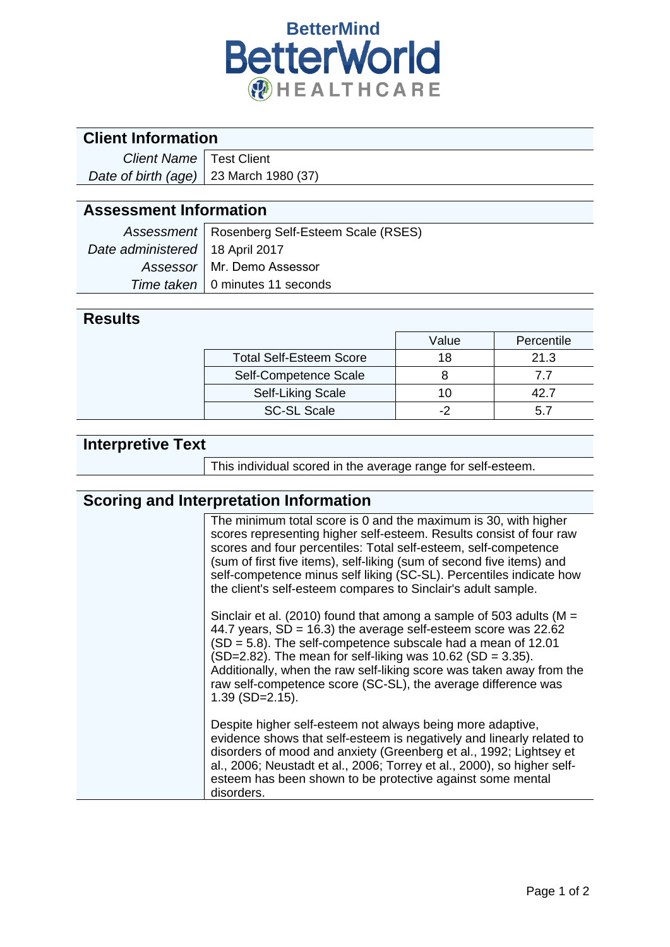

#### **Client Information**

| <b>Client Name</b> Test Client                 |  |
|------------------------------------------------|--|
| Date of birth (age) $\vert$ 23 March 1980 (37) |  |

#### **Assessment Information**

|                                   | Assessment   Rosenberg Self-Esteem Scale (RSES) |  |
|-----------------------------------|-------------------------------------------------|--|
| Date administered   18 April 2017 |                                                 |  |
|                                   | Assessor   Mr. Demo Assessor                    |  |
|                                   | Time taken   0 minutes 11 seconds               |  |

#### **Results**

|                                | Value | Percentile |
|--------------------------------|-------|------------|
| <b>Total Self-Esteem Score</b> | 18    | 21.3       |
| Self-Competence Scale          |       | 77         |
| <b>Self-Liking Scale</b>       | 1 ( ) |            |
| <b>SC-SL Scale</b>             |       |            |

## **Interpretive Text**

This individual scored in the average range for self-esteem.

## **Scoring and Interpretation Information**

| The minimum total score is 0 and the maximum is 30, with higher<br>scores representing higher self-esteem. Results consist of four raw<br>scores and four percentiles: Total self-esteem, self-competence<br>(sum of first five items), self-liking (sum of second five items) and<br>self-competence minus self liking (SC-SL). Percentiles indicate how<br>the client's self-esteem compares to Sinclair's adult sample.                    |
|-----------------------------------------------------------------------------------------------------------------------------------------------------------------------------------------------------------------------------------------------------------------------------------------------------------------------------------------------------------------------------------------------------------------------------------------------|
| Sinclair et al. (2010) found that among a sample of 503 adults ( $M =$<br>44.7 years, $SD = 16.3$ ) the average self-esteem score was 22.62<br>$(SD = 5.8)$ . The self-competence subscale had a mean of 12.01<br>$(SD=2.82)$ . The mean for self-liking was 10.62 (SD = 3.35).<br>Additionally, when the raw self-liking score was taken away from the<br>raw self-competence score (SC-SL), the average difference was<br>$1.39$ (SD=2.15). |
| Despite higher self-esteem not always being more adaptive,<br>evidence shows that self-esteem is negatively and linearly related to<br>disorders of mood and anxiety (Greenberg et al., 1992; Lightsey et<br>al., 2006; Neustadt et al., 2006; Torrey et al., 2000), so higher self-<br>esteem has been shown to be protective against some mental<br>disorders.                                                                              |